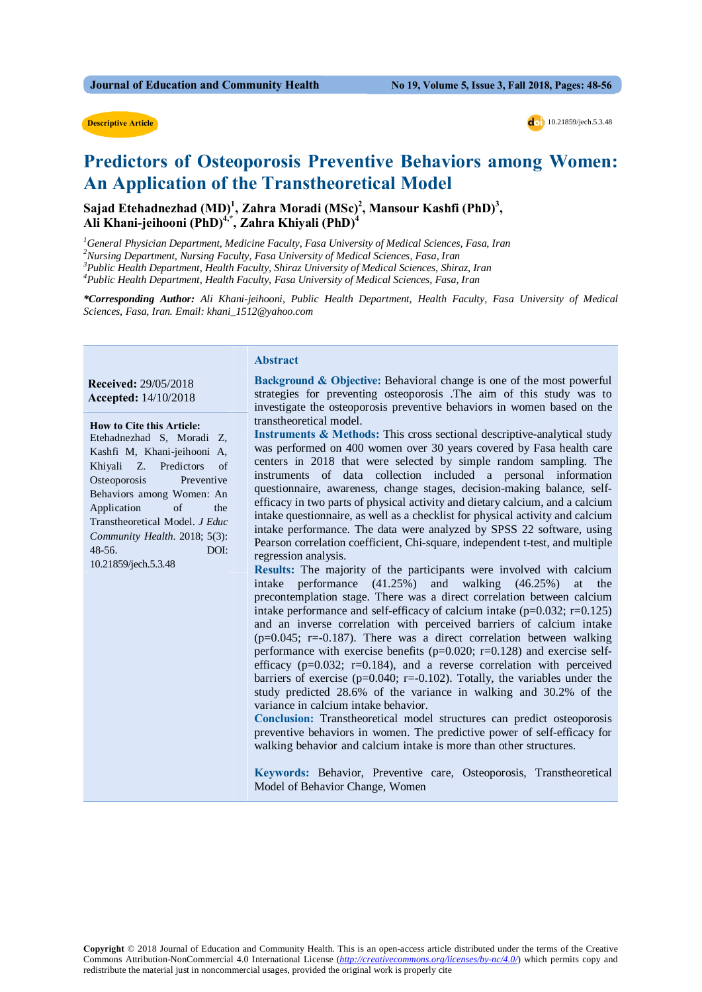#### **Descriptive Article**



## **Predictors of Osteoporosis Preventive Behaviors among Women: An Application of the Transtheoretical Model**

Sajad Etehadnezhad (MD)<sup>1</sup>, Zahra Moradi (MSc)<sup>2</sup>, Mansour Kashfi (PhD)<sup>3</sup>, **Ali Khani-jeihooni (PhD)4,\*, Zahra Khiyali (PhD)4**

 *General Physician Department, Medicine Faculty, Fasa University of Medical Sciences, Fasa, Iran Nursing Department, Nursing Faculty, Fasa University of Medical Sciences, Fasa, Iran Public Health Department, Health Faculty, Shiraz University of Medical Sciences, Shiraz, Iran Public Health Department, Health Faculty, Fasa University of Medical Sciences, Fasa, Iran*

*\*Corresponding Author: Ali Khani-jeihooni, Public Health Department, Health Faculty, Fasa University of Medical Sciences, Fasa, Iran. Email: khani\_1512@yahoo.com*

#### **Received:** 29/05/2018  **Accepted:** 14/10/2018

#### **How to Cite this Article:**

Etehadnezhad S, Moradi Z, Kashfi M, Khani-jeihooni A, Khiyali Z. Predictors of Osteoporosis Preventive Behaviors among Women: An Application of the Transtheoretical Model. *J Educ Community Health*. 2018; 5(3): 48-56. DOI: 10.21859/jech.5.3.48

#### **Abstract**

**Background & Objective:** Behavioral change is one of the most powerful strategies for preventing osteoporosis .The aim of this study was to investigate the osteoporosis preventive behaviors in women based on the transtheoretical model.

**Instruments & Methods:** This cross sectional descriptive-analytical study was performed on 400 women over 30 years covered by Fasa health care centers in 2018 that were selected by simple random sampling. The instruments of data collection included a personal information questionnaire, awareness, change stages, decision-making balance, selfefficacy in two parts of physical activity and dietary calcium, and a calcium intake questionnaire, as well as a checklist for physical activity and calcium intake performance. The data were analyzed by SPSS 22 software, using Pearson correlation coefficient, Chi-square, independent t-test, and multiple regression analysis.

**Results:** The majority of the participants were involved with calcium intake performance (41.25%) and walking (46.25%) at the precontemplation stage. There was a direct correlation between calcium intake performance and self-efficacy of calcium intake  $(p=0.032; r=0.125)$ and an inverse correlation with perceived barriers of calcium intake  $(p=0.045; r=.0.187)$ . There was a direct correlation between walking performance with exercise benefits ( $p=0.020$ ;  $r=0.128$ ) and exercise selfefficacy ( $p=0.032$ ;  $r=0.184$ ), and a reverse correlation with perceived barriers of exercise ( $p=0.040$ ;  $r=0.102$ ). Totally, the variables under the study predicted 28.6% of the variance in walking and 30.2% of the variance in calcium intake behavior.

**Conclusion:** Transtheoretical model structures can predict osteoporosis preventive behaviors in women. The predictive power of self-efficacy for walking behavior and calcium intake is more than other structures.

**Keywords:** Behavior, Preventive care, Osteoporosis, Transtheoretical Model of Behavior Change, Women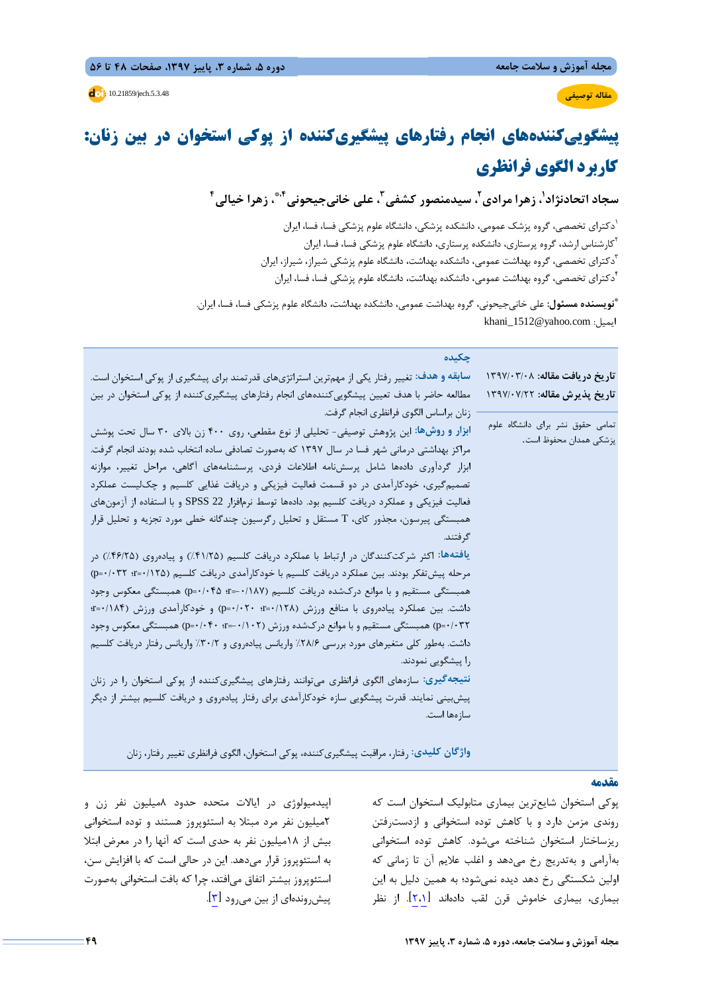# **پيشگوييكنندههاي انجام رفتارهاي پيشگيريكننده از پوكي استخوان در بين زنان: كاربرد الگوي فرانظري**

سجاد اتحادنژاد'، زهرا مرادی'، سیدمنصور کشفی''، علی خانیجیحونی''\*، زهرا خیالی'

دكتراي تخصصي، گروه پزشك عمومي، دانشكده پزشكي، دانشگاه علوم پزشكي فسا، فسا، ايران <sup>1</sup> كارشناس ارشد، گروه پرستاري، دانشكده پرستاري، دانشگاه علوم پزشكي فسا، فسا، ايران <sup>2</sup> <sup>7</sup>دكتراي تخصصي، گروه بهداشت عمومي، دانشكده بهداشت، دانشگاه علوم پزشكي شيراز، شيراز، ايران<br><sup>1</sup>دكتراي تخصصي، گروه بهداشت عمومي، دانشكده بهداشت، دانشگاه علوم پزشكي فسا، فسا، ايران

**نويسنده مسئول:** علي خانيجيحوني، گروه بهداشت عمومي، دانشكده بهداشت، دانشگاه علوم پزشكي فسا، فسا، ايران. **\*** khani\_1512@yahoo.com :ايميل

| چکیده                                                                                           |                                                            |
|-------------------------------------------------------------------------------------------------|------------------------------------------------------------|
| سابقه و هدف: تغییر رفتار یکی از مهمترین استراتژیهای قدرتمند برای پیشگیری از پوکی استخوان است.   | تاریخ دریافت مقاله: ۱۳۹۷/۰۳/۰۸                             |
| مطالعه حاضر با هدف تعیین پیشگوییکنندههای انجام رفتارهای پیشگیریکننده از پوکی استخوان در بین     | تاريخ پذيرش مقاله: ١٣٩٧/٠٧/٢٢                              |
| زنان براساس الگوي فرانظري انجام گرفت.                                                           |                                                            |
| ابزار و روشها: این پژوهش توصیفی- تحلیلی از نوع مقطعی، روی ۴۰۰ زن بالای ۳۰ سال تحت پوشش          | تمامی حقوق نشر برای دانشگاه علوم<br>پزشكى همدان محفوظ است. |
| مراکز بهداشتی درمانی شهر فسا در سال ۱۳۹۷ که بهصورت تصادفی ساده انتخاب شده بودند انجام گرفت.     |                                                            |
| ابزار گردآوری دادهها شامل پرسشنامه اطلاعات فردی، پرسشنامههای آگاهی، مراحل تغییر، موازنه         |                                                            |
| تصمیمگیری، خودکارآمدی در دو قسمت فعالیت فیزیکی و دریافت غذایی کلسیم و چک $\lambda$ یست عملکرد   |                                                            |
| فعالیت فیزیکی و عملکرد دریافت کلسیم بود. دادهها توسط نرم فزار SPSS 22 و با استفاده از آزمونهای  |                                                            |
| همبستگی پیرسون، مجذور کای، T مستقل و تحلیل رگرسیون چندگانه خطی مورد تجزیه و تحلیل قرار          |                                                            |
| گر فتند.                                                                                        |                                                            |
| یافتهها: اکثر شرکتکنندگان در ارتباط با عملکرد دریافت کلسیم (۴۱/۲۵٪) و پیادهروی (۴۶/۲۵٪) در      |                                                            |
| مرحله پیش تفکر بودند. بین عملکرد دریافت کلسیم با خودکارآمدی دریافت کلسیم (۱۲۵–۰۹ r=۰/۱۲۵)       |                                                            |
| همبستگی مستقیم و با موانع درکشده دریافت کلسیم (۰/۱۸۷–¤ p=۰/۰۴۵) همبستگی معکوس وجود              |                                                            |
| داشت. بین عملکرد پیادهروی با منافع ورزش (۱۲۸/۰=۰؛ p=۰/۰۲۰؛ p=۰/۰۲۰) و خودکارآمدی ورزش (۱۸۴/۰=۰؛ |                                                            |
| p=۰/۰۳۲) همبستگی مستقیم و با موانع درکشده ورزش (۰/۰۲–۰ $\cdot$ -۰/۰۴۰) همبستگی معکوس وجود       |                                                            |
| داشت. بهطور کلی متغیرهای مورد بررسی ۲۸/۶٪ واریانس پیادهروی و ۳۰/۲٪ واریانس رفتار دریافت کلسیم   |                                                            |
| را پیشگویی نمودند.                                                                              |                                                            |
| نتیجهگیری: سازههای الگوی فرانظری میتوانند رفتارهای پیشگیریکننده از پوکی استخوان را در زنان      |                                                            |
| پیش بینی نمایند. قدرت پیشگویی سازه خودکارآمدی برای رفتار پیادهروی و دریافت کلسیم بیشتر از دیگر  |                                                            |
| سازەھا است.                                                                                     |                                                            |
|                                                                                                 |                                                            |
| واژگان کلیدی: رفتار، مراقبت پیشگیریکننده، پوکی استخوان، الگوی فرانظری تغییر رفتار، زنان         |                                                            |

## **مقدمه**

پوكي استخوان شايعترين بيماري متابوليك استخوان است كه روندي مزمن دارد و با كاهش توده استخواني و ازدسترفتن ريزساختار استخوان شناخته ميشود. كاهش توده استخواني بهآرامي و بهتدريج رخ ميدهد و اغلب علايم آن تا زماني كه اولين شكستگي رخ دهد ديده نميشود؛ به همين دليل به اين بيماري، بيماري خاموش قرن لقب دادهاند [2،1]. از نظر

اپيدميولوژي در ايالات متحده حدود 8ميليون نفر زن و 2ميليون نفر مرد مبتلا به استئوپروز هستند و توده استخواني بيش از 18ميليون نفر به حدي است كه آنها را در معرض ابتلا به استئوپروز قرار ميدهد. اين در حالي است كه با افزايش سن، استئوپروز بيشتر اتفاق ميافتد، چرا كه بافت استخواني بهصورت پيش وندهاي از بين مي رود [۳].

**مقاله توصيفي**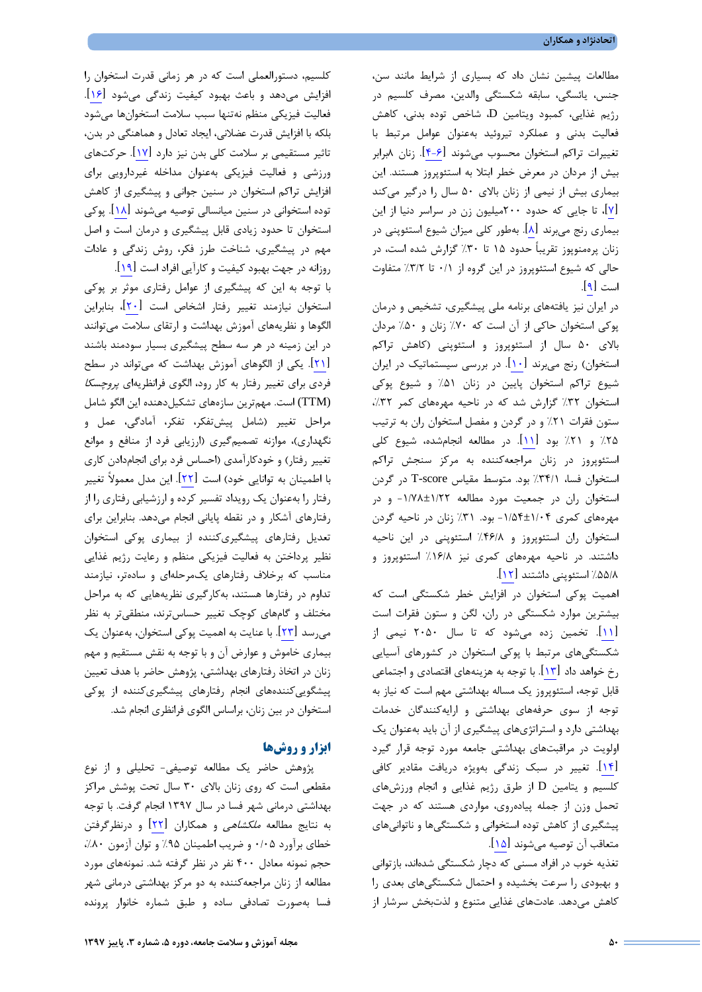مطالعات پيشين نشان داد كه بسياري از شرايط مانند سن، جنس، يائسگي، سابقه شكستگي والدين، مصرف كلسيم در رژيم غذايي، كمبود ويتامين D، شاخص توده بدني، كاهش فعاليت بدني و عملكرد تيروئيد بهعنوان عوامل مرتبط با تغييرات تراكم استخوان محسوب ميشوند [4-6]. زنان 8برابر بيش از مردان در معرض خطر ابتلا به استئوپروز هستند. اين بيماري بيش از نيمي از زنان بالاي 50 سال را درگير ميكند [7]، تا جايي كه حدود 200ميليون زن در سراسر دنيا از اين بيماري رنج ميبرند [8]. بهطور كلي ميزان شيوع استئوپني در زنان پرهمنوپوز تقريباً حدود 15 تا %30 گزارش شده است، در حالي كه شيوع استئوپروز در اين گروه از 0/1 تا %3/2 متفاوت است [9].

در ايران نيز يافتههاي برنامه ملي پيشگيري، تشخيص و درمان پوكي استخوان حاكي از آن است كه %70 زنان و %50 مردان بالاي 50 سال از استئوپروز و استئوپني (كاهش تراكم استخوان) رنج ميبرند [10]. در بررسي سيستماتيك در ايران شيوع تراكم استخوان پايين در زنان %51 و شيوع پوكي استخوان ٣٢٪ گزارش شد كه در ناحيه مهرههاي كمر ٣٢٪، ستون فقرات %21 و در گردن و مفصل استخوان ران به ترتيب %25 و %21 بود [11]. در مطالعه انجامشده، شيوع كلي استئوپروز در زنان مراجعهكننده به مركز سنجش تراكم استخوان فسا، %34/1 بود. متوسط مقياس score-T در گردن استخوان ران در جمعيت مورد مطالعه -1/78±1/22 و در مهرههاي كمري -1/54±1/04 بود. %31 زنان در ناحيه گردن استخوان ران استئوپروز و %46/8 استئوپني در اين ناحيه داشتند. در ناحيه مهرههاي كمري نيز %16/8 استئوپروز و %55/8 استئوپني داشتند [12].

اهميت پوكي استخوان در افزايش خطر شكستگي است كه بيشترين موارد شكستگي در ران، لگن و ستون فقرات است [11]. تخمين زده ميشود كه تا سال 2050 نيمي از شكستگيهاي مرتبط با پوكي استخوان در كشورهاي آسيايي رخ خواهد داد [13]. با توجه به هزينههاي اقتصادي و اجتماعي قابل توجه، استئوپروز يك مساله بهداشتي مهم است كه نياز به توجه از سوي حرفههاي بهداشتي و ارايهكنندگان خدمات بهداشتي دارد و استراتژيهاي پيشگيري از آن بايد بهعنوان يك اولويت در مراقبتهاي بهداشتي جامعه مورد توجه قرار گيرد [14]. تغيير در سبك زندگي بهويژه دريافت مقادير كافي كلسيم و يتامين D از طرق رژيم غذايي و انجام ورزشهاي تحمل وزن از جمله پيادهروي، مواردي هستند كه در جهت پيشگيري از كاهش توده استخواني و شكستگيها و ناتوانيهاي متعاقب آن توصيه ميشوند [15].

تغذيه خوب در افراد مسني كه دچار شكستگي شدهاند، بازتواني و بهبودي را سرعت بخشيده و احتمال شكستگيهاي بعدي را كاهش ميدهد. عادتهاي غذايي متنوع و لذتبخش سرشار از

كلسيم، دستورالعملي است كه در هر زماني قدرت استخوان را افزايش ميدهد و باعث بهبود كيفيت زندگي ميشود [16]. فعاليت فيزيكي منظم نهتنها سبب سلامت استخوانها ميشود بلكه با افزايش قدرت عضلاني، ايجاد تعادل و هماهنگي در بدن، تاثير مستقيمي بر سلامت كلي بدن نيز دارد [17]. حركتهاي ورزشي و فعاليت فيزيكي بهعنوان مداخله غيردارويي براي افزايش تراكم استخوان در سنين جواني و پيشگيري از كاهش توده استخواني در سنين ميانسالي توصيه ميشوند [18]. پوكي استخوان تا حدود زيادي قابل پيشگيري و درمان است و اصل مهم در پيشگيري، شناخت طرز فكر، روش زندگي و عادات روزانه در جهت بهبود كيفيت و كارآيي افراد است [19].

با توجه به اين كه پيشگيري از عوامل رفتاري موثر بر پوكي استخوان نيازمند تغيير رفتار اشخاص است [20]، بنابراين الگوها و نظريههاي آموزش بهداشت و ارتقاي سلامت ميتوانند در اين زمينه در هر سه سطح پيشگيري بسيار سودمند باشند [21]. يكي از الگوهاي آموزش بهداشت كه ميتواند در سطح فردي براي تغيير رفتار به كار رود، الگوي فرانظريهاي پروچسكا (TTM (است. مهمترين سازههاي تشكيلدهنده اين الگو شامل مراحل تغيير (شامل پيشتفكر، تفكر، آمادگي، عمل و نگهداري)، موازنه تصميمگيري (ارزيابي فرد از منافع و موانع تغيير رفتار) و خودكارآمدي (احساس فرد براي انجامدادن كاري با اطمينان به توانايي خود) است [22]. اين مدل معمولاً تغيير رفتار را بهعنوان يك رويداد تفسير كرده و ارزشيابي رفتاري را از رفتارهاي آشكار و در نقطه پاياني انجام ميدهد. بنابراين براي تعديل رفتارهاي پيشگيريكننده از بيماري پوكي استخوان نظير پرداختن به فعاليت فيزيكي منظم و رعايت رژيم غذايي مناسب كه برخلاف رفتارهاي يكمرحلهاي و سادهتر، نيازمند تداوم در رفتارها هستند، بهكارگيري نظريههايي كه به مراحل مختلف و گامهاي كوچك تغيير حساسترند، منطقيتر به نظر ميرسد [23]. با عنايت به اهميت پوكي استخوان، بهعنوان يك بيماري خاموش و عوارض آن و با توجه به نقش مستقيم و مهم زنان در اتخاذ رفتارهاي بهداشتي، پژوهش حاضر با هدف تعيين پيشگوييكنندههاي انجام رفتارهاي پيشگيريكننده از پوكي استخوان در بين زنان، براساس الگوي فرانظري انجام شد.

## **ابزار و روشها**

پژوهش حاضر يك مطالعه توصيفي- تحليلي و از نوع مقطعي است كه روي زنان بالاي 30 سال تحت پوشش مراكز بهداشتي درماني شهر فسا در سال 1397 انجام گرفت. با توجه به نتايج مطالعه ملكشاهي و همكاران [22] و درنظرگرفتن خطاي برآورد 0/05 و ضريب اطمينان %95 و توان آزمون ،%80 حجم نمونه معادل 400 نفر در نظر گرفته شد. نمونههاي مورد مطالعه از زنان مراجعهكننده به دو مركز بهداشتي درماني شهر فسا بهصورت تصادفي ساده و طبق شماره خانوار پرونده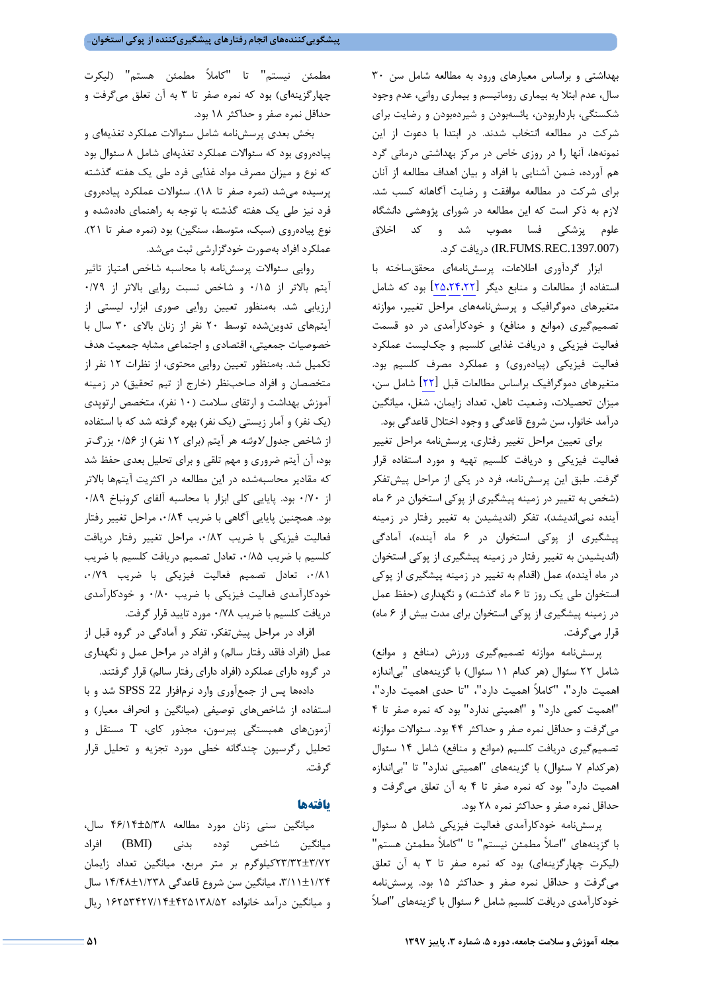بهداشتي و براساس معيارهاي ورود به مطالعه شامل سن 30 سال، عدم ابتلا به بيماري روماتيسم و بيماري رواني، عدم وجود شكستگي، بارداربودن، يائسهبودن و شيردهبودن و رضايت براي شركت در مطالعه انتخاب شدند. در ابتدا با دعوت از اين نمونهها، آنها را در روزي خاص در مركز بهداشتي درماني گرد هم آورده، ضمن آشنايي با افراد و بيان اهداف مطالعه از آنان براي شركت در مطالعه موافقت و رضايت آگاهانه كسب شد. لازم به ذكر است كه اين مطالعه در شوراي پژوهشي دانشگاه علوم پزشكي فسا مصوب شد و كد اخلاق .كرد دريافت) IR.FUMS.REC.1397.007)

ابزار گردآوري اطلاعات، پرسشنامهاي محققساخته با استفاده از مطالعات و منابع ديگر [25،24،22] بود كه شامل متغيرهاي دموگرافيك و پرسشنامههاي مراحل تغيير، موازنه تصميمگيري (موانع و منافع) و خودكارآمدي در دو قسمت فعاليت فيزيكي و دريافت غذايي كلسيم و چكليست عملكرد فعاليت فيزيكي (پيادهروي) و عملكرد مصرف كلسيم بود. متغيرهاي دموگرافيك براساس مطالعات قبل [22] شامل سن، ميزان تحصيلات، وضعيت تاهل، تعداد زايمان، شغل، ميانگين درآمد خانوار، سن شروع قاعدگي و وجود اختلال قاعدگي بود.

براي تعيين مراحل تغيير رفتاري، پرسشنامه مراحل تغيير فعاليت فيزيكي و دريافت كلسيم تهيه و مورد استفاده قرار گرفت. طبق اين پرسشنامه، فرد در يكي از مراحل پيشتفكر (شخص به تغيير در زمينه پيشگيري از پوكي استخوان در 6 ماه آينده نميانديشد)، تفكر (انديشيدن به تغيير رفتار در زمينه پيشگيري از پوكي استخوان در 6 ماه آينده)، آمادگي (انديشيدن به تغيير رفتار در زمينه پيشگيري از پوكي استخوان در ماه آينده)، عمل (اقدام به تغيير در زمينه پيشگيري از پوكي استخوان طي يك روز تا 6 ماه گذشته) و نگهداري (حفظ عمل در زمينه پيشگيري از پوكي استخوان براي مدت بيش از 6 ماه) قرار ميگرفت.

پرسشنامه موازنه تصميمگيري ورزش (منافع و موانع) شامل 22 سئوال (هر كدام 11 سئوال) با گزينههاي "بياندازه اهميت دارد"، "كاملاً اهميت دارد"، "تا حدي اهميت دارد"، "اهميت كمي دارد" و "اهميتي ندارد" بود كه نمره صفر تا 4 ميگرفت و حداقل نمره صفر و حداكثر 44 بود. سئوالات موازنه تصميمگيري دريافت كلسيم (موانع و منافع) شامل 14 سئوال (هركدام 7 سئوال) با گزينههاي "اهميتي ندارد" تا "بياندازه اهميت دارد" بود كه نمره صفر تا 4 به آن تعلق ميگرفت و حداقل نمره صفر و حداكثر نمره 28 بود.

پرسشنامه خودكارآمدي فعاليت فيزيكي شامل 5 سئوال با گزينههاي "اصلاً مطمئن نيستم" تا "كاملاً مطمئن هستم" (ليكرت چهارگزينهاي) بود كه نمره صفر تا 3 به آن تعلق ميگرفت و حداقل نمره صفر و حداكثر 15 بود. پرسشنامه خودكارآمدي دريافت كلسيم شامل 6 سئوال با گزينههاي "اصلاً

مطمئن نيستم" تا "كاملاً مطمئن هستم" (ليكرت چهارگزينهاي) بود كه نمره صفر تا 3 به آن تعلق ميگرفت و حداقل نمره صفر و حداكثر 18 بود.

بخش بعدي پرسشنامه شامل سئوالات عملكرد تغذيهاي و پيادهروي بود كه سئوالات عملكرد تغذيهاي شامل 8 سئوال بود كه نوع و ميزان مصرف مواد غذايي فرد طي يك هفته گذشته پرسيده ميشد (نمره صفر تا 18). سئوالات عملكرد پيادهروي فرد نيز طي يك هفته گذشته با توجه به راهنماي دادهشده و نوع پيادهروي (سبك، متوسط، سنگين) بود (نمره صفر تا 21). عملكرد افراد بهصورت خودگزارشي ثبت ميشد.

روايي سئوالات پرسشنامه با محاسبه شاخص امتياز تاثير آيتم بالاتر از 0/15 و شاخص نسبت روايي بالاتر از 0/79 ارزيابي شد. بهمنظور تعيين روايي صوري ابزار، ليستي از آيتمهاي تدوينشده توسط 20 نفر از زنان بالاي 30 سال با خصوصيات جمعيتي، اقتصادي و اجتماعي مشابه جمعيت هدف تكميل شد. بهمنظور تعيين روايي محتوي، از نظرات 12 نفر از متخصصان و افراد صاحبنظر (خارج از تيم تحقيق) در زمينه آموزش بهداشت و ارتقاي سلامت (10 نفر)، متخصص ارتوپدي (يك نفر) و آمار زيستي (يك نفر) بهره گرفته شد كه با استفاده از شاخص جدول لاوشه هر آيتم (براي 12 نفر) از 0/56 بزرگتر بود، آن آيتم ضروري و مهم تلقي و براي تحليل بعدي حفظ شد كه مقادير محاسبهشده در اين مطالعه در اكثريت آيتمها بالاتر از 0/70 بود. پايايي كلي ابزار با محاسبه آلفاي كرونباخ 0/89 بود. همچنين پايايي آگاهي با ضريب ۰۰/۸۴ مراحل تغيير رفتار فعاليت فيزيكي با ضريب ،0/82 مراحل تغيير رفتار دريافت كلسيم با ضريب ٠/٨٥، تعادل تصميم دريافت كلسيم با ضريب ،0/81 تعادل تصميم فعاليت فيزيكي با ضريب ،0/79 خودكارآمدي فعاليت فيزيكي با ضريب 0/80 و خودكارآمدي دريافت كلسيم با ضريب 0/78 مورد تاييد قرار گرفت.

افراد در مراحل پيشتفكر، تفكر و آمادگي در گروه قبل از عمل (افراد فاقد رفتار سالم) و افراد در مراحل عمل و نگهداري در گروه داراي عملكرد (افراد داراي رفتار سالم) قرار گرفتند.

دادهها پس از جمعآوري وارد نرمافزار 22 SPSS شد و با استفاده از شاخصهاي توصيفي (ميانگين و انحراف معيار) و آزمونهاي همبستگي پيرسون، مجذور كاي، T مستقل و تحليل رگرسيون چندگانه خطي مورد تجزيه و تحليل قرار گرفت.

#### **يافتهها**

ميانگين سني زنان مورد مطالعه 46/14±5/38 سال، ميانگين شاخص توده بدني (BMI (افراد 23/32±3/72كيلوگرم بر متر مربع، ميانگين تعداد زايمان ،3/11±1/24 ميانگين سن شروع قاعدگي 14/48±1/238 سال و ميانگين درآمد خانواده 16253427/14±425138/52 ريال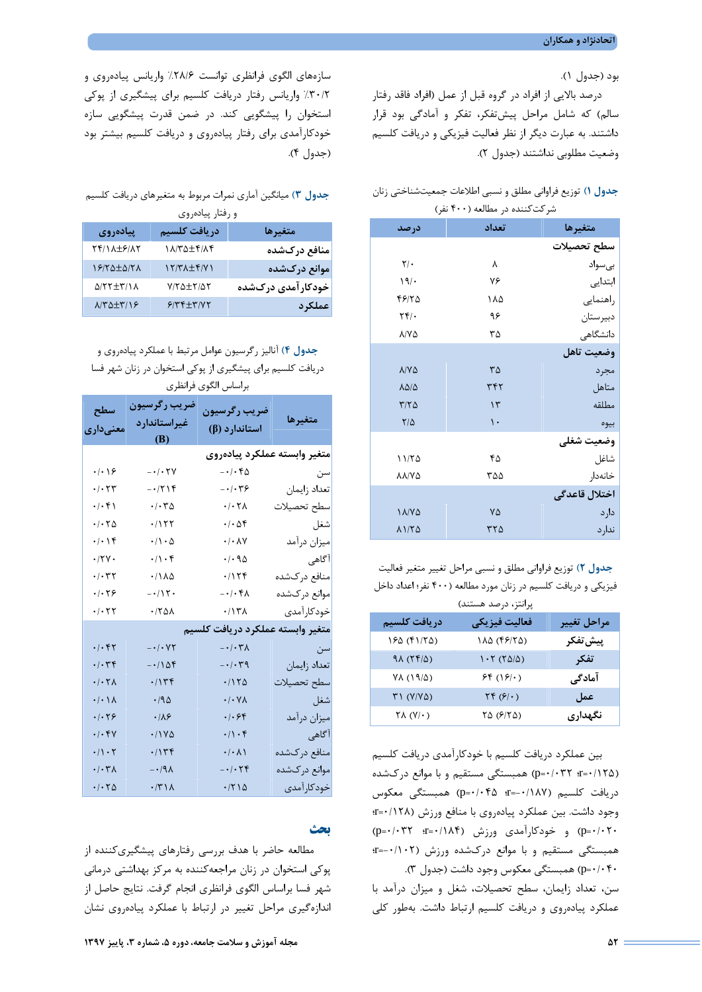بود (جدول 1).

درصد بالايي از افراد در گروه قبل از عمل (افراد فاقد رفتار سالم) كه شامل مراحل پيشتفكر، تفكر و آمادگي بود قرار داشتند. به عبارت ديگر از نظر فعاليت فيزيكي و دريافت كلسيم وضعيت مطلوبي نداشتند (جدول 2).

## **جدول 1)** توزيع فراواني مطلق و نسبي اطلاعات جمعيتشناختي زنان شركتكننده در مطالعه (400 نفر)

| درصد                      | تعداد              | متغيرها       |
|---------------------------|--------------------|---------------|
|                           |                    | سطح تحصيلات   |
| $\mathsf{Y}/\cdot$        | ٨                  | بىسواد        |
| 19/                       | ٧۶                 | ابتدایی       |
| 48170                     | ۱۸۵                | راهنمايي      |
| $\mathbf{Y} \mathbf{Y}$ . | ۹۶                 | دبيرستان      |
| $\lambda$ / $\lambda$     | ٣۵                 | دانشگاهی      |
|                           |                    | وضعيت تاهل    |
| $\lambda/\gamma\Delta$    | $\mathsf{r}\Delta$ | مجرد          |
| <b>1010</b>               | ٣۴٢                | متاهل         |
| $T/T\Delta$               | $\gamma$           | مطلقه         |
| $\frac{8}{4}$             | $\mathcal{L}$      | بيوه          |
|                           |                    | وضعيت شغلي    |
| 11/70                     | ۴۵                 | شاغل          |
| <b>AA/YA</b>              | ۳۵۵                | خانەدار       |
|                           |                    | اختلال قاعدگی |
| <b>I A/V A</b>            | ٧۵                 | دارد          |
| 1170                      | ۳۲۵                | ندارد         |

**جدول 2)** توزيع فراواني مطلق و نسبي مراحل تغيير متغير فعاليت فيزيكي و دريافت كلسيم در زنان مورد مطالعه (400 نفر؛ اعداد داخل

| پرانتز، درصد هستند) |  |  |
|---------------------|--|--|
|---------------------|--|--|

| دريافت كلسيم                       | فعاليت فيزيكي                           | مراحل تغيير |
|------------------------------------|-----------------------------------------|-------------|
| 180 (٣١/٢۵)                        | (۱۸۵ (۴۶/۲۵)                            | ِییش تفکر   |
| $9\Lambda (Yf/\Delta)$             | $1.7 (70/\Delta)$                       | تفكر        |
| YA(19/2)                           | 56(19)                                  | آمادگی      |
| $T1 (Y/Y\Delta)$                   | $\Upsilon \uparrow (\mathcal{S}/\cdot)$ | عمل         |
| $\Upsilon \wedge (\Upsilon/\cdot)$ | (۶/۲۵ م                                 | نگهداری     |

بين عملكرد دريافت كلسيم با خودكارآمدي دريافت كلسيم (0/125=r؛ 0/032=p (همبستگي مستقيم و با موانع دركشده دريافت كلسيم (-0/187=r؛ 0/045=p (همبستگي معكوس وجود داشت. بين عملكرد پيادهروي با منافع ورزش (0/128=r؛  $(p = \cdot / \cdot \uparrow \uparrow$  (p= $\cdot / \cdot \uparrow \uparrow$ ) و خودكارآمدي ورزش (0/184 $(p = \cdot / \cdot \uparrow \uparrow)$ همبستگي مستقيم و با موانع دركشده ورزش (-0/102 =r؛ 0/040=p (همبستگي معكوس وجود داشت (جدول 3).

سن، تعداد زايمان، سطح تحصيلات، شغل و ميزان درآمد با عملكرد پيادهروي و دريافت كلسيم ارتباط داشت. بهطور كلي

سازههاي الگوي فرانظري توانست %28/6 واريانس پيادهروي و %30/2 واريانس رفتار دريافت كلسيم براي پيشگيري از پوكي استخوان را پيشگويي كند. در ضمن قدرت پيشگويي سازه خودكارآمدي براي رفتار پيادهروي و دريافت كلسيم بيشتر بود (جدول 4).

## **جدول 3)** ميانگين آماري نمرات مربوط به متغيرهاي دريافت كلسيم و رفتار پيادهروي

**جدول 4)** آناليز رگرسيون عوامل مرتبط با عملكرد پيادهروي و دريافت كلسيم براي پيشگيري از پوكي استخوان در زنان شهر فسا براساس الگوي فرانظري

| سطح<br>معنے داری                        | ضريب رگرسيون<br>غيراستاندارد<br>(B) | ضريب رگرسيون<br>استاندارد (β)                                                                                                                                                                                                                                                                                                                                                                                                                                                                                                                                                                                             | متغيرها      |  |  |  |
|-----------------------------------------|-------------------------------------|---------------------------------------------------------------------------------------------------------------------------------------------------------------------------------------------------------------------------------------------------------------------------------------------------------------------------------------------------------------------------------------------------------------------------------------------------------------------------------------------------------------------------------------------------------------------------------------------------------------------------|--------------|--|--|--|
| متغير وابسته عملكرد پيادەروى            |                                     |                                                                                                                                                                                                                                                                                                                                                                                                                                                                                                                                                                                                                           |              |  |  |  |
| $\cdot$ / $\cdot$ / $\epsilon$          | $- \cdot / \cdot \tau$              | $- \cdot / \cdot \mathcal{F} \Delta$                                                                                                                                                                                                                                                                                                                                                                                                                                                                                                                                                                                      | سن           |  |  |  |
| $\cdot/\cdot$ $\tau\tau$                | $-1719$                             | $-\cdot/\cdot$ ۳۶                                                                                                                                                                                                                                                                                                                                                                                                                                                                                                                                                                                                         | تعداد زايمان |  |  |  |
| $\cdot/\cdot$ ۴۱                        | $\cdot/\cdot \tau \Delta$           | $\cdot/\cdot \tau$                                                                                                                                                                                                                                                                                                                                                                                                                                                                                                                                                                                                        | سطح تحصيلات  |  |  |  |
| $\cdot$ / $\cdot$ $\uparrow$ $\upDelta$ | $\cdot/177$                         | $\cdot/\cdot \Delta \mathfrak{f}$                                                                                                                                                                                                                                                                                                                                                                                                                                                                                                                                                                                         | شغل          |  |  |  |
| $\cdot/\cdot$ ) $\zeta$                 | $\cdot/\wedge\cdot\Delta$           | $\cdot/\cdot \wedge \vee$                                                                                                                                                                                                                                                                                                                                                                                                                                                                                                                                                                                                 | ميزان درآمد  |  |  |  |
| $\cdot$ /٢٧ $\cdot$                     | $\cdot/\right) \cdot f$             | $\cdot/\cdot \mathop{}\!\mathrm{\,} \mathop{}\!\mathrm{\,} \mathop{}\!\mathrm{\,} \mathop{}\!\mathrm{\,}\mathop{}\!\mathrm{\,}\mathop{}\!\mathrm{\,}\mathop{}\!\mathrm{\,}\mathop{}\!\mathrm{\,}\mathop{}\!\mathrm{\,}\mathop{}\!\mathrm{\,}\mathop{}\!\mathrm{\,}\mathop{}\!\mathrm{\,}\mathop{}\!\mathrm{\,}\mathop{}\!\mathrm{\,}\mathop{}\!\mathrm{\,}\mathop{}\!\mathrm{\,}\mathop{}\!\mathrm{\,}\mathop{}\!\mathrm{\,}\mathop{}\!\mathrm{\,}\mathop{}\!\mathrm{\,}\mathop{}\!\mathrm{\,}\mathop{}\!\mathrm{\,}\mathop{}\!\mathrm{\,}\mathop{}\!\mathrm{\,}\mathop{}\!\mathrm{\,}\mathop{}\!\mathrm{\,}\mathop{}\!\$ | آگاهی        |  |  |  |
| $\cdot/\cdot$ ٣٢                        | $\cdot$ /1 $\lambda$                | .715                                                                                                                                                                                                                                                                                                                                                                                                                                                                                                                                                                                                                      | منافع دركشده |  |  |  |
| .1.59                                   | $-115$                              | $-\cdot/\cdot$ ۴۸                                                                                                                                                                                                                                                                                                                                                                                                                                                                                                                                                                                                         | موانع دركشده |  |  |  |
| $\cdot$ / $\cdot$ $\uparrow$ $\uparrow$ | $\cdot$ /٢۵٨                        | $\cdot$ /1٣٨                                                                                                                                                                                                                                                                                                                                                                                                                                                                                                                                                                                                              | خودكارآمدى   |  |  |  |
|                                         |                                     | متغير وابسته عملكرد دريافت كلسيم                                                                                                                                                                                                                                                                                                                                                                                                                                                                                                                                                                                          |              |  |  |  |
| $\cdot/\cdot$ ۴۲                        | $- \cdot / \cdot \vee \vee$         | $-\cdot/\cdot \tau$                                                                                                                                                                                                                                                                                                                                                                                                                                                                                                                                                                                                       | سن           |  |  |  |
| $\cdot/\cdot$ ٣۴                        | $-110F$                             | $- \cdot / \cdot \tau$ q                                                                                                                                                                                                                                                                                                                                                                                                                                                                                                                                                                                                  | تعداد زايمان |  |  |  |
| $\cdot$ / $\cdot$ $\tau$                | $\cdot/\gamma$ ۳۴                   | .7170                                                                                                                                                                                                                                                                                                                                                                                                                                                                                                                                                                                                                     | سطح تحصيلات  |  |  |  |
| $\cdot/\cdot\setminus\lambda$           | .490                                | $\cdot$ / $\cdot$ Y $\wedge$                                                                                                                                                                                                                                                                                                                                                                                                                                                                                                                                                                                              | شغل ا        |  |  |  |
| .1.79                                   | $\cdot/\lambda$ ۶                   | $.  .$ ۶۴                                                                                                                                                                                                                                                                                                                                                                                                                                                                                                                                                                                                                 | ميزان درآمد  |  |  |  |
| $\cdot/\cdot$ ۴۷                        | $\cdot$ /1YA                        | $\cdot/\right) \cdot f$                                                                                                                                                                                                                                                                                                                                                                                                                                                                                                                                                                                                   | آگاهی        |  |  |  |
| $\cdot/\wedge\cdot\curlyvee$            | .715                                | $\cdot/\cdot \wedge \wedge$                                                                                                                                                                                                                                                                                                                                                                                                                                                                                                                                                                                               | منافع دركشده |  |  |  |
| $\cdot/\cdot \tau$                      | $-\cdot/9\lambda$                   | $- \cdot / \cdot \tau$ ۴                                                                                                                                                                                                                                                                                                                                                                                                                                                                                                                                                                                                  | موانع دركشده |  |  |  |
| $\cdot$ / $\cdot$ $\uparrow$ $\upDelta$ | $\cdot$ /٣١٨                        | $\cdot$ /٢١۵                                                                                                                                                                                                                                                                                                                                                                                                                                                                                                                                                                                                              | خودكارآمدى   |  |  |  |

### **بحث**

مطالعه حاضر با هدف بررسي رفتارهاي پيشگيريكننده از پوكي استخوان در زنان مراجعهكننده به مركز بهداشتي درماني شهر فسا براساس الگوي فرانظري انجام گرفت. نتايج حاصل از اندازهگيري مراحل تغيير در ارتباط با عملكرد پيادهروي نشان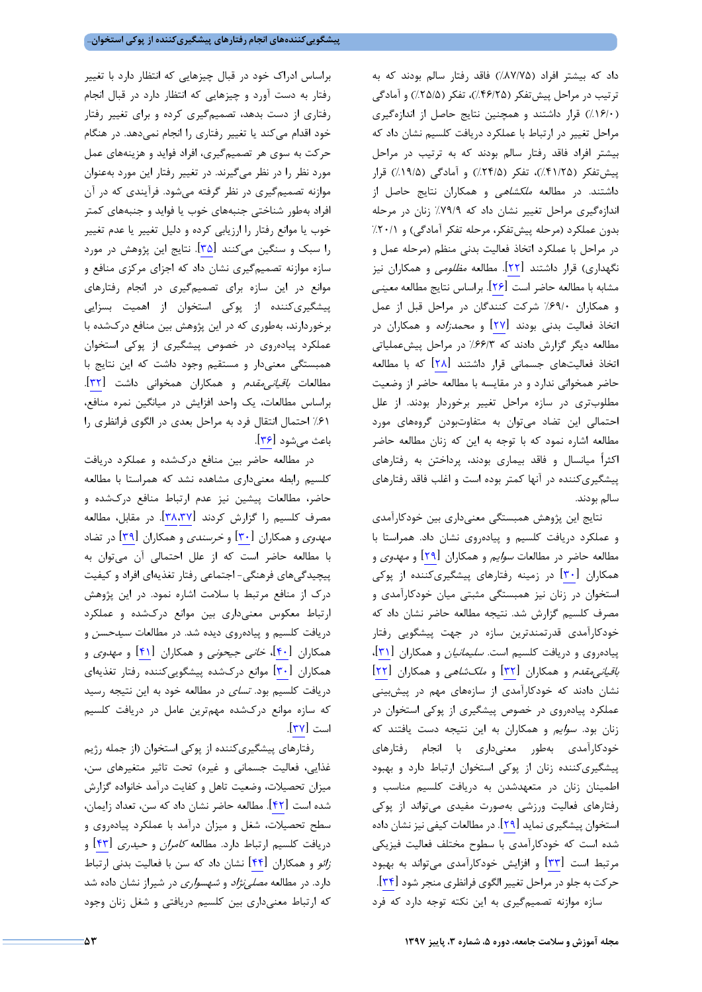داد كه بيشتر افراد (%87/75) فاقد رفتار سالم بودند كه به ترتيب در مراحل پيشتفكر (%46/25)، تفكر (%25/5) و آمادگي (%16/0) قرار داشتند و همچنين نتايج حاصل از اندازهگيري مراحل تغيير در ارتباط با عملكرد دريافت كلسيم نشان داد كه بيشتر افراد فاقد رفتار سالم بودند كه به ترتيب در مراحل پيشتفكر (%41/25)، تفكر (%24/5) و آمادگي (%19/5) قرار داشتند. در مطالعه ملكشاهي و همكاران نتايج حاصل از اندازهگيري مراحل تغيير نشان داد كه %79/9 زنان در مرحله بدون عملكرد (مرحله پيشتفكر، مرحله تفكر آمادگي) و %20/1 در مراحل با عملكرد اتخاذ فعاليت بدني منظم (مرحله عمل و نگهداري) قرار داشتند [22]. مطالعه مظلومي و همكاران نيز مشابه با مطالعه حاضر است [26]. براساس نتايج مطالعه معيني و همكاران %69/0 شركت كنندگان در مراحل قبل از عمل اتخاذ فعاليت بدني بودند [27] و محمدزاده و همكاران در مطالعه ديگر گزارش دادند كه %66/3 در مراحل پيشعملياتي اتخاذ فعاليتهاي جسماني قرار داشتند [28] كه با مطالعه حاضر همخواني ندارد و در مقايسه با مطالعه حاضر از وضعيت مطلوبتري در سازه مراحل تغيير برخوردار بودند. از علل احتمالي اين تضاد ميتوان به متفاوتبودن گروههاي مورد مطالعه اشاره نمود كه با توجه به اين كه زنان مطالعه حاضر اكثراً ميانسال و فاقد بيماري بودند، پرداختن به رفتارهاي پيشگيريكننده در آنها كمتر بوده است و اغلب فاقد رفتارهاي سالم بودند.

نتايج اين پژوهش همبستگي معنيداري بين خودكارآمدي و عملكرد دريافت كلسيم و پيادهروي نشان داد. همراستا با مطالعه حاضر در مطالعات سوايم و همكاران [29] و مهدوي و همكاران [30] در زمينه رفتارهاي پيشگيريكننده از پوكي استخوان در زنان نيز همبستگي مثبتي ميان خودكارآمدي و مصرف كلسيم گزارش شد. نتيجه مطالعه حاضر نشان داد كه خودكارآمدي قدرتمندترين سازه در جهت پيشگويي رفتار پيادهروي و دريافت كلسيم است. *سليمانيان* و همكاران [<mark>(۳</mark>]، باقيانيمقدم و همكاران [32] و ملكشاهي و همكاران [22] نشان دادند كه خودكارآمدي از سازههاي مهم در پيشبيني عملكرد پيادهروي در خصوص پيشگيري از پوكي استخوان در زنان بود. سوايم و همكاران به اين نتيجه دست يافتند كه خودكارآمدي بهطور معنيداري با انجام رفتارهاي پيشگيريكننده زنان از پوكي استخوان ارتباط دارد و بهبود اطمينان زنان در متعهدشدن به دريافت كلسيم مناسب و رفتارهاي فعاليت ورزشي بهصورت مفيدي ميتواند از پوكي استخوان پيشگيري نمايد [29]. در مطالعات كيفي نيزنشان داده شده است كه خودكارآمدي با سطوح مختلف فعاليت فيزيكي مرتبط است [33] و افزايش خودكارآمدي ميتواند به بهبود حركت به جلو در مراحل تغيير الگوي فرانظري منجر شود[34]. سازه موازنه تصميمگيري به اين نكته توجه دارد كه فرد

براساس ادراك خود در قبال چيزهايي كه انتظار دارد با تغيير رفتار به دست آورد و چيزهايي كه انتظار دارد در قبال انجام رفتاري از دست بدهد، تصميمگيري كرده و براي تغيير رفتار خود اقدام ميكند يا تغيير رفتاري را انجام نميدهد. در هنگام حركت به سوي هر تصميمگيري، افراد فوايد و هزينههاي عمل مورد نظر را در نظر ميگيرند. در تغيير رفتار اين مورد بهعنوان موازنه تصميمگيري در نظر گرفته ميشود. فرآيندي كه در آن افراد بهطور شناختي جنبههاي خوب يا فوايد و جنبههاي كمتر خوب يا موانع رفتار را ارزيابي كرده و دليل تغيير يا عدم تغيير را سبك و سنگين ميكنند [35]. نتايج اين پژوهش در مورد سازه موازنه تصميمگيري نشان داد كه اجزاي مركزي منافع و موانع در اين سازه براي تصميمگيري در انجام رفتارهاي پيشگيريكننده از پوكي استخوان از اهميت بسزايي برخوردارند، بهطوري كه در اين پژوهش بين منافع دركشده با عملكرد پيادهروي در خصوص پيشگيري از پوكي استخوان همبستگي معنيدار و مستقيم وجود داشت كه اين نتايج با مطالعات *باقياني،مقدم* و همكاران همخواني داشت [<mark>٣٢</mark>]. براساس مطالعات، يك واحد افزايش در ميانگين نمره منافع، %61 احتمال انتقال فرد به مراحل بعدي در الگوي فرانظري را باعث ميشود [36].

در مطالعه حاضر بين منافع دركشده و عملكرد دريافت كلسيم رابطه معنيداري مشاهده نشد كه همراستا با مطالعه حاضر، مطالعات پيشين نيز عدم ارتباط منافع دركشده و مصرف كلسيم را گزارش كردند [38،37]. در مقابل، مطالعه مهدوي و همكاران [30] و خرسندي و همكاران [39] در تضاد با مطالعه حاضر است كه از علل احتمالي آن ميتوان به پيچيدگيهاي فرهنگي- اجتماعي رفتار تغذيهاي افراد و كيفيت درك از منافع مرتبط با سلامت اشاره نمود. در اين پژوهش ارتباط معكوس معنيداري بين موانع دركشده و عملكرد دريافت كلسيم و پيادهروي ديده شد. در مطالعات سيدحسن و همكاران [40]، خاني جيحوني و همكاران [41] و مهدوي و همكاران [30] موانع دركشده پيشگوييكننده رفتار تغذيهاي دريافت كلسيم بود. تساي در مطالعه خود به اين نتيجه رسيد كه سازه موانع دركشده مهمترين عامل در دريافت كلسيم است [37].

رفتارهاي پيشگيريكننده از پوكي استخوان (از جمله رژيم غذايي، فعاليت جسماني و غيره) تحت تاثير متغيرهاي سن، ميزان تحصيلات، وضعيت تاهل و كفايت درآمد خانواده گزارش شده است [42]. مطالعه حاضر نشان داد كه سن، تعداد زايمان، سطح تحصيلات، شغل و ميزان درآمد با عملكرد پيادهروي و دريافت كلسيم ارتباط دارد. مطالعه كامران و حيدري [43] و زائو و همكاران [44] نشان داد كه سن با فعاليت بدني ارتباط دارد. در مطالعه *مصلي نژاد* و *شهسواري* در شيراز نشان داده شد كه ارتباط معنيداري بين كلسيم دريافتي و شغل زنان وجود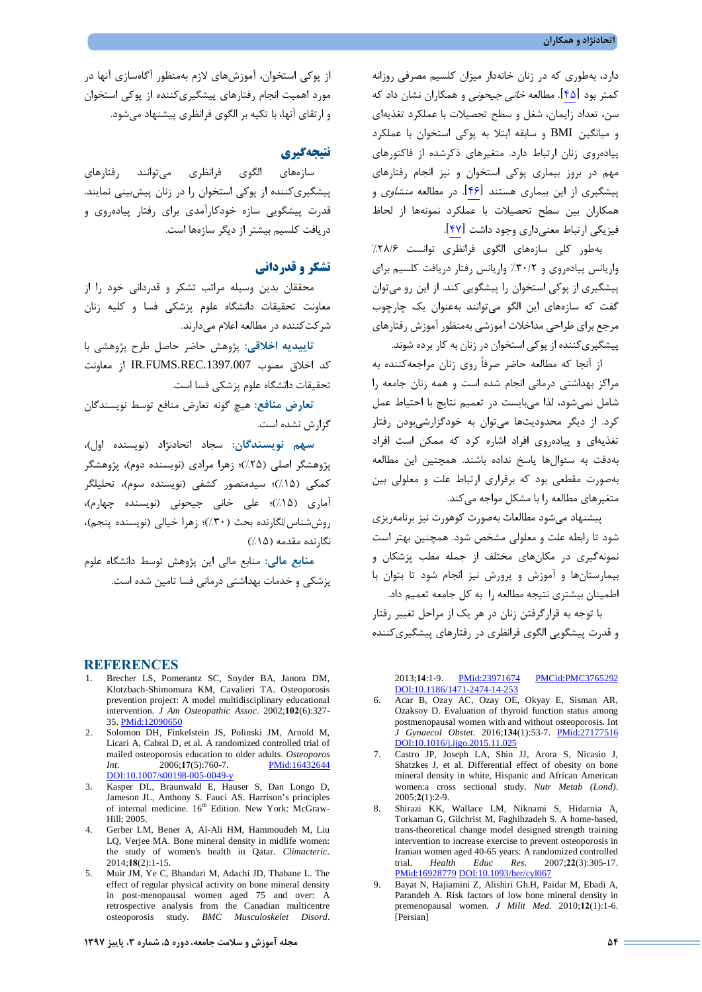دارد، بهطوري كه در زنان خانهدار ميزان كلسيم مصرفي روزانه كمتر بود [45]. مطالعه خاني جيحوني و همكاران نشان داد كه سن، تعداد زايمان، شغل و سطح تحصيلات با عملكرد تغذيهاي و ميانگين BMI و سابقه ابتلا به پوكي استخوان با عملكرد پيادهروي زنان ارتباط دارد. متغيرهاي ذكرشده از فاكتورهاي مهم در بروز بيماري پوكي استخوان و نيز انجام رفتارهاي پيشگيري از اين بيماري هستند [۴۶]. در مطالعه *منشاوي* و همكاران بين سطح تحصيلات با عملكرد نمونهها از لحاظ فيزيكي ارتباط معنيداري وجود داشت [47].

بهطور كلي سازههاي الگوي فرانظري توانست %28/6 واريانس پيادهروي و %30/2 واريانس رفتار دريافت كلسيم براي پيشگيري از پوكي استخوان را پيشگويي كند. از اين رو ميتوان گفت كه سازههاي اين الگو ميتوانند بهعنوان يك چارچوب مرجع براي طراحي مداخلات آموزشي بهمنظور آموزش رفتارهاي پيشگيريكننده از پوكي استخوان در زنان به كار برده شوند.

از آنجا كه مطالعه حاضر صرفاً روي زنان مراجعهكننده به مراكز بهداشتي درماني انجام شده است و همه زنان جامعه را شامل نميشود، لذا ميبايست در تعميم نتايج با احتياط عمل كرد. از ديگر محدوديتها ميتوان به خودگزارشيبودن رفتار تغذيهاي و پيادهروي افراد اشاره كرد كه ممكن است افراد بهدقت به سئوالها پاسخ نداده باشند. همچنين اين مطالعه بهصورت مقطعي بود كه برقراري ارتباط علت و معلولي بين متغيرهاي مطالعه را با مشكل مواجه ميكند.

پيشنهاد ميشود مطالعات بهصورت كوهورت نيز برنامهريزي شود تا رابطه علت و معلولي مشخص شود. همچنين بهتر است نمونهگيري در مكانهاي مختلف از جمله مطب پزشكان و بيمارستانها و آموزش و پرورش نيز انجام شود تا بتوان با اطمينان بيشتري نتيجه مطالعه را به كل جامعه تعميم داد. با توجه به قرارگرفتن زنان در هر يك از مراحل تغيير رفتار و قدرت پيشگويي الگوي فرانظري در رفتارهاي پيشگيريكننده

2013;**14**:1-9. PMid:23971674 PMCid:PMC3765292 DOI:10.1186/1471-2474-14-253

- 6. Acar B, Ozay AC, Ozay OE, Okyay E, Sisman AR, Ozaksoy D. Evaluation of thyroid function status among postmenopausal women with and without osteoporosis. Int *J Gynaecol Obstet*. 2016;**134**(1):53-7. PMid:27177516 DOI:10.1016/j.ijgo.2015.11.025
- 7. Castro JP, Joseph LA, Shin JJ, Arora S, Nicasio J, Shatzkes J, et al. Differential effect of obesity on bone mineral density in white, Hispanic and African American women:a cross sectional study. *Nutr Metab (Lond)*. 2005;**2**(1):2-9.
- 8. Shirazi KK, Wallace LM, Niknami S, Hidarnia A, Torkaman G, Gilchrist M, Faghihzadeh S. A home-based, trans-theoretical change model designed strength training intervention to increase exercise to prevent osteoporosis in Iranian women aged 40-65 years: A randomized controlled trial. *Health Educ Res*. 2007;**22**(3):305-17. PMid:16928779 DOI:10.1093/her/cyl067
- 9. Bayat N, Hajiamini Z, Alishiri Gh.H, Paidar M, Ebadi A, Parandeh A. Risk factors of low bone mineral density in premenopausal women. *J Milit Med*. 2010;**12**(1):1-6. [Persian]

از پوكي استخوان، آموزشهاي لازم بهمنظور آگاهسازي آنها در مورد اهميت انجام رفتارهاي پيشگيريكننده از پوكي استخوان و ارتقاي آنها، با تكيه بر الگوي فرانظري پيشنهاد ميشود.

#### **نتيجهگيري**

سازههاي الگوي فرانظري ميتوانند رفتارهاي پيشگيريكننده از پوكي استخوان را در زنان پيشبيني نمايند. قدرت پيشگويي سازه خودكارآمدي براي رفتار پيادهروي و دريافت كلسيم بيشتر از ديگر سازهها است.

## **تشكر و قدرداني**

محققان بدين وسيله مراتب تشكر و قدرداني خود را از معاونت تحقيقات دانشگاه علوم پزشكي فسا و كليه زنان شركتكننده در مطالعه اعلام ميدارند.

**تاييديه اخلاقي:** پژوهش حاضر حاصل طرح پژوهشي با كد اخلاق مصوب IR.FUMS.REC.1397.007 از معاونت تحقيقات دانشگاه علوم پزشكي فسا است.

**تعارض منافع:** هيچ گونه تعارض منافع توسط نويسندگان گزارش نشده است.

**سهم نويسندگان:** سجاد اتحادنژاد (نويسنده اول)، پژوهشگر اصلي (%25)؛ زهرا مرادي (نويسنده دوم)، پژوهشگر كمكي (%15)؛ سيدمنصور كشفي (نويسنده سوم)، تحليلگر آماري (%15)؛ علي خاني جيحوني (نويسنده چهارم)، روششناس/نگارنده بحث (%30)؛ زهرا خيالي (نويسنده پنجم)، نگارنده مقدمه (%15)

**منابع مالي:** منابع مالي اين پژوهش توسط دانشگاه علوم پزشكي و خدمات بهداشتي درماني فسا تامين شده است.

#### **REFERENCES**

- 1. Brecher LS, Pomerantz SC, Snyder BA, Janora DM, Klotzbach-Shimomura KM, Cavalieri TA. Osteoporosis prevention project: A model multidisciplinary educational intervention. *J Am Osteopathic Assoc*. 2002;**102**(6):327- 35. PMid:12090650
- 2. Solomon DH, Finkelstein JS, Polinski JM, Arnold M, Licari A, Cabral D, et al. A randomized controlled trial of mailed osteoporosis education to older adults. *Osteoporos Int*. 2006;17(5):760-7. PMid:16432644 DOI:10.1007/s00198-005-0049-y
- Kasper DL, Braunwald E, Hauser S, Dan Longo D, Jameson JL, Anthony S. Fauci AS. Harrison's principles of internal medicine. 16<sup>th</sup> Edition. New York: McGraw-Hill; 2005.
- 4. Gerber LM, Bener A, Al-Ali HM, Hammoudeh M, Liu LQ, Verjee MA. Bone mineral density in midlife women: the study of women's health in Qatar. *Climacteric*. 2014;**18**(2):1-15.
- 5. Muir JM, Ye C, Bhandari M, Adachi JD, Thabane L. The effect of regular physical activity on bone mineral density in post-menopausal women aged 75 and over: A retrospective analysis from the Canadian multicentre osteoporosis study. *BMC Musculoskelet Disord*.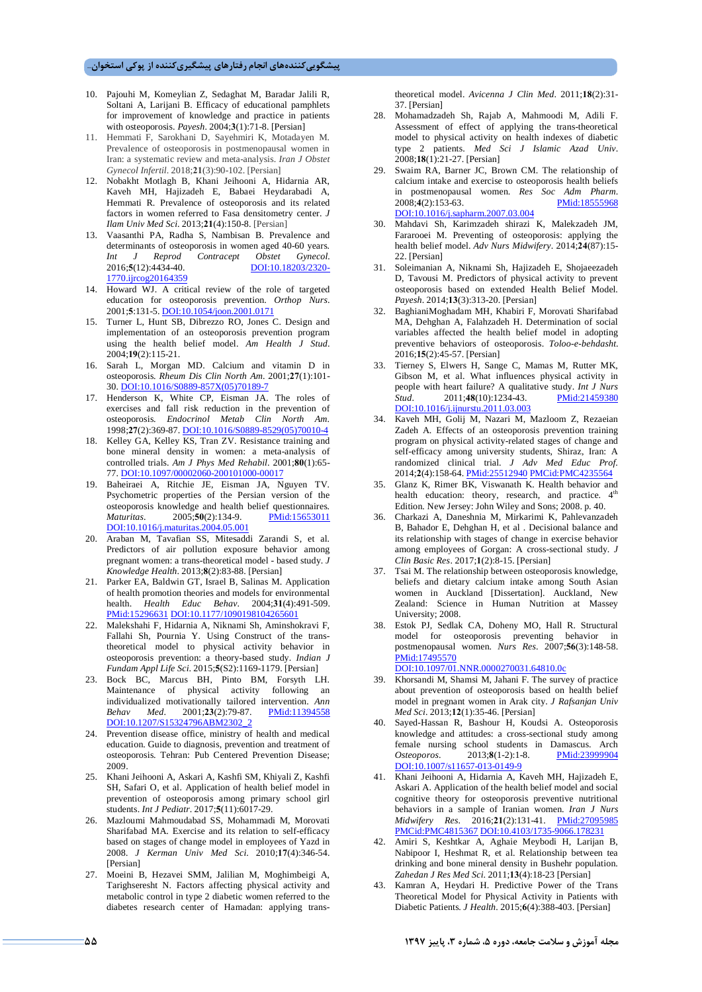- 10. Pajouhi M, Komeylian Z, Sedaghat M, Baradar Jalili R, Soltani A, Larijani B. Efficacy of educational pamphlets for improvement of knowledge and practice in patients with osteoporosis. *Payesh*. 2004;**3**(1):71-8. [Persian]
- 11. Hemmati F, Sarokhani D, Sayehmiri K, Motadayen M. Prevalence of osteoporosis in postmenopausal women in Iran: a systematic review and meta-analysis. *Iran J Obstet Gynecol Infertil*. 2018;**21**(3):90-102. [Persian]
- 12. Nobakht Motlagh B, Khani Jeihooni A, Hidarnia AR, Kaveh MH, Hajizadeh E, Babaei Heydarabadi A, Hemmati R. Prevalence of osteoporosis and its related factors in women referred to Fasa densitometry center. *J Ilam Univ Med Sci*. 2013;**21**(4):150-8. [Persian]
- 13. Vaasanthi PA, Radha S, Nambisan B. Prevalence and determinants of osteoporosis in women aged 40-60 years. *Int J Reprod Contracept Obstet Gynecol.* 2016;5(12):4434-40. 1770.ijrcog20164359
- 14. Howard WJ. A critical review of the role of targeted education for osteoporosis prevention. *Orthop Nurs*. 2001;**5**:131-5. DOI:10.1054/joon.2001.0171
- 15. Turner L, Hunt SB, Dibrezzo RO, Jones C. Design and implementation of an osteoporosis prevention program using the health belief model. *Am Health J Stud*. 2004;**19**(2):115-21.
- 16. Sarah L, Morgan MD. Calcium and vitamin D in osteoporosis. *Rheum Dis Clin North Am*. 2001;**27**(1):101- 30. DOI:10.1016/S0889-857X(05)70189-7
- 17. Henderson K, White CP, Eisman JA. The roles of exercises and fall risk reduction in the prevention of osteoporosis. *Endocrinol Metab Clin North Am*. 1998;**27**(2):369-87. DOI:10.1016/S0889-8529(05)70010-4
- 18. Kelley GA, Kelley KS, Tran ZV. Resistance training and bone mineral density in women: a meta-analysis of controlled trials. *Am J Phys Med Rehabil*. 2001;**80**(1):65- 77. DOI:10.1097/00002060-200101000-00017
- 19. Baheiraei A, Ritchie JE, Eisman JA, Nguyen TV. Psychometric properties of the Persian version of the osteoporosis knowledge and health belief questionnaires. *Maturitas*. 2005;**50**(2):134-9. PMid:15653011 DOI:10.1016/j.maturitas.2004.05.001
- 20. Araban M, Tavafian SS, Mitesaddi Zarandi S, et al. Predictors of air pollution exposure behavior among pregnant women: a trans-theoretical model - based study. *J Knowledge Health*. 2013;**8**(2):83-88. [Persian]
- 21. Parker EA, Baldwin GT, Israel B, Salinas M. Application of health promotion theories and models for environmental health. *Health Educ Behav*. 2004;**31**(4):491-509. PMid:15296631 DOI:10.1177/1090198104265601
- 22. Malekshahi F, Hidarnia A, Niknami Sh, Aminshokravi F, Fallahi Sh, Pournia Y. Using Construct of the transtheoretical model to physical activity behavior in osteoporosis prevention: a theory-based study. *Indian J Fundam Appl Life Sci*. 2015;**5**(S2):1169-1179. [Persian]
- 23. Bock BC, Marcus BH, Pinto BM, Forsyth LH. Maintenance of physical activity following an individualized motivationally tailored intervention. *Ann Behav Med*. 2001;**23**(2):79-87. PMid:11394558 DOI:10.1207/S15324796ABM2302
- 24. Prevention disease office, ministry of health and medical education. Guide to diagnosis, prevention and treatment of osteoporosis. Tehran: Pub Centered Prevention Disease; 2009.
- 25. Khani Jeihooni A, Askari A, Kashfi SM, Khiyali Z, Kashfi SH, Safari O, et al. Application of health belief model in prevention of osteoporosis among primary school girl students. *Int J Pediatr*. 2017;**5**(11):6017-29.
- 26. Mazloumi Mahmoudabad SS, Mohammadi M, Morovati Sharifabad MA. Exercise and its relation to self-efficacy based on stages of change model in employees of Yazd in 2008*. J Kerman Univ Med Sci*. 2010;**17**(4):346-54. [Persian]
- 27. Moeini B, Hezavei SMM, Jalilian M, Moghimbeigi A, Tarighseresht N. Factors affecting physical activity and metabolic control in type 2 diabetic women referred to the diabetes research center of Hamadan: applying trans-

theoretical model. *Avicenna J Clin Med*. 2011;**18**(2):31- 37. [Persian]

- 28. Mohamadzadeh Sh, Rajab A, Mahmoodi M, Adili F. Assessment of effect of applying the trans-theoretical model to physical activity on health indexes of diabetic type 2 patients. *Med Sci J Islamic Azad Univ*. 2008;**18**(1):21-27. [Persian]
- 29. Swaim RA, Barner JC, Brown CM. The relationship of calcium intake and exercise to osteoporosis health beliefs in postmenopausal women. *Res Soc Adm Pharm*. 2008;**4**(2):153-63. PMid:18555968 DOI:10.1016/j.sapharm.2007.03.004
- 30. Mahdavi Sh, Karimzadeh shirazi K, Malekzadeh JM, Fararooei M. Preventing of osteoporosis: applying the health belief model. *Adv Nurs Midwifery*. 2014;**24**(87):15- 22. [Persian]
- 31. Soleimanian A, Niknami Sh, Hajizadeh E, Shojaeezadeh D, Tavousi M. Predictors of physical activity to prevent osteoporosis based on extended Health Belief Model. *Payesh*. 2014;**13**(3):313-20. [Persian]
- 32. BaghianiMoghadam MH, Khabiri F, Morovati Sharifabad MA, Dehghan A, Falahzadeh H. Determination of social variables affected the health belief model in adopting preventive behaviors of osteoporosis. *Toloo-e-behdasht*. 2016;**15**(2):45-57. [Persian]
- 33. Tierney S, Elwers H, Sange C, Mamas M, Rutter MK, Gibson M, et al. What influences physical activity in people with heart failure? A qualitative study. *Int J Nurs Stud*. 2011;**48**(10):1234-43. PMid:21459380 DOI:10.1016/j.ijnurstu.2011.03.003
- 34. Kaveh MH, Golij M, Nazari M, Mazloom Z, Rezaeian Zadeh A. Effects of an osteoporosis prevention training program on physical activity-related stages of change and self-efficacy among university students, Shiraz, Iran: A randomized clinical trial. *J Adv Med Educ Prof*. 2014;**2**(4):158-64. PMid:25512940 PMCid:PMC4235564
- 35. Glanz K, Rimer BK, Viswanath K. Health behavior and health education: theory, research, and practice.  $4<sup>th</sup>$ Edition. New Jersey: John Wiley and Sons; 2008. p. 40.
- 36. Charkazi A, Daneshnia M, Mirkarimi K, Pahlevanzadeh B, Bahador E, Dehghan H, et al . Decisional balance and its relationship with stages of change in exercise behavior among employees of Gorgan: A cross-sectional study. *J Clin Basic Res*. 2017;**1**(2):8-15. [Persian]
- 37. Tsai M. The relationship between osteoporosis knowledge, beliefs and dietary calcium intake among South Asian women in Auckland [Dissertation]. Auckland, New Zealand: Science in Human Nutrition at Massey University; 2008.
- 38. Estok PJ, Sedlak CA, Doheny MO, Hall R. Structural model for osteoporosis preventing behavior in postmenopausal women. *Nurs Res*. 2007;**56**(3):148-58. PMid:17495570

DOI:10.1097/01.NNR.0000270031.64810.0c

- 39. Khorsandi M, Shamsi M, Jahani F. The survey of practice about prevention of osteoporosis based on health belief model in pregnant women in Arak city. *J Rafsanjan Univ Med Sci*. 2013;**12**(1):35-46. [Persian]
- 40. Sayed-Hassan R, Bashour H, Koudsi A. Osteoporosis knowledge and attitudes: a cross-sectional study among female nursing school students in Damascus. Arch<br>  $Osteonoros$  2013:8(1-2):1-8 PMid:23999904 *Osteoporos*. 2013;**8**(1-2):1-8. PMid:23999904 DOI:10.1007/s11657-013-0149-9
- 41. Khani Jeihooni A, Hidarnia A, Kaveh MH, Hajizadeh E, Askari A. Application of the health belief model and social cognitive theory for osteoporosis preventive nutritional behaviors in a sample of Iranian women. *Iran J Nurs Midwifery Res*. 2016;**21**(2):131-41. PMid:27095985 PMCid:PMC4815367 DOI:10.4103/1735-9066.178231
- 42. Amiri S, Keshtkar A, Aghaie Meybodi H, Larijan B, Nabipoor I, Heshmat R, et al. Relationship between tea drinking and bone mineral density in Bushehr population. *Zahedan J Res Med Sci*. 2011;**13**(4):18-23 [Persian]
- 43. Kamran A, Heydari H. Predictive Power of the Trans Theoretical Model for Physical Activity in Patients with Diabetic Patients. *J Health*. 2015;**6**(4):388-403. [Persian]